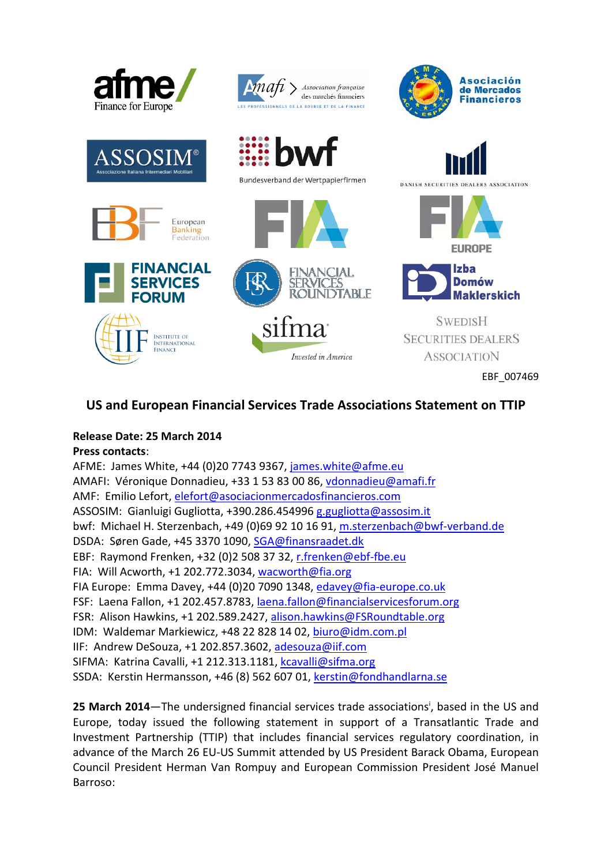

## **US and European Financial Services Trade Associations Statement on TTIP**

## **Release Date: 25 March 2014**

**Press contacts**:

AFME: James White, +44 (0)20 7743 9367, james.white@afme.eu AMAFI: Véronique Donnadieu, +33 1 53 83 00 86, vdonnadieu@amafi.fr AMF: Emilio Lefort, elefort@asociacionmercadosfinancieros.com ASSOSIM: Gianluigi Gugliotta, +390.286.454996 g.gugliotta@assosim.it bwf: Michael H. Sterzenbach, +49 (0)69 92 10 16 91, m.sterzenbach@bwf‐verband.de DSDA: Søren Gade, +45 3370 1090, SGA@finansraadet.dk EBF: Raymond Frenken, +32 (0)2 508 37 32, r.frenken@ebf‐fbe.eu FIA: Will Acworth, +1 202.772.3034, wacworth@fia.org FIA Europe: Emma Davey, +44 (0)20 7090 1348, edavey@fia‐europe.co.uk FSF: Laena Fallon, +1 202.457.8783, laena.fallon@financialservicesforum.org FSR: Alison Hawkins, +1 202.589.2427, alison.hawkins@FSRoundtable.org IDM: Waldemar Markiewicz, +48 22 828 14 02, biuro@idm.com.pl IIF: Andrew DeSouza, +1 202.857.3602, adesouza@iif.com SIFMA: Katrina Cavalli, +1 212.313.1181, kcavalli@sifma.org SSDA: Kerstin Hermansson, +46 (8) 562 607 01, kerstin@fondhandlarna.se

25 March 2014-The undersigned financial services trade associations<sup>i</sup>, based in the US and Europe, today issued the following statement in support of a Transatlantic Trade and Investment Partnership (TTIP) that includes financial services regulatory coordination, in advance of the March 26 EU‐US Summit attended by US President Barack Obama, European Council President Herman Van Rompuy and European Commission President José Manuel Barroso: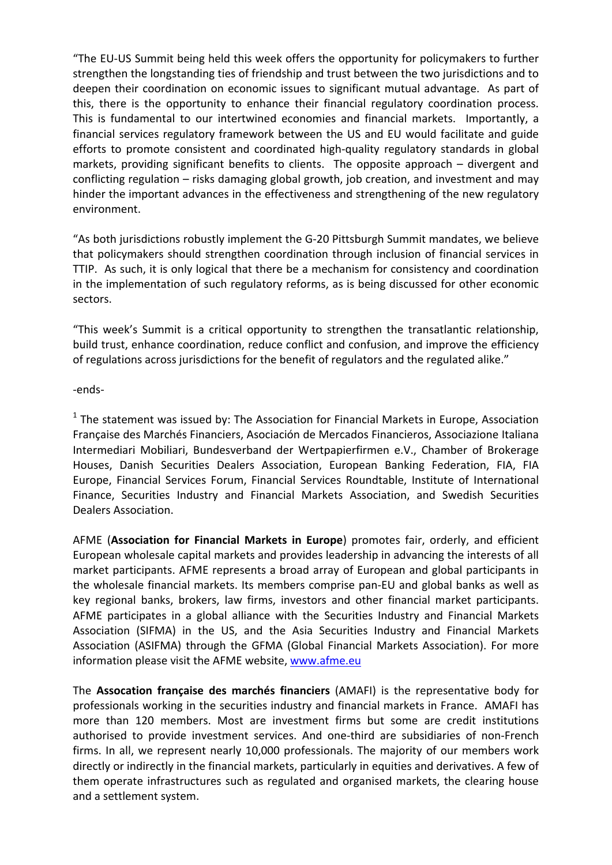"The EU‐US Summit being held this week offers the opportunity for policymakers to further strengthen the longstanding ties of friendship and trust between the two jurisdictions and to deepen their coordination on economic issues to significant mutual advantage. As part of this, there is the opportunity to enhance their financial regulatory coordination process. This is fundamental to our intertwined economies and financial markets. Importantly, a financial services regulatory framework between the US and EU would facilitate and guide efforts to promote consistent and coordinated high‐quality regulatory standards in global markets, providing significant benefits to clients. The opposite approach – divergent and conflicting regulation – risks damaging global growth, job creation, and investment and may hinder the important advances in the effectiveness and strengthening of the new regulatory environment.

"As both jurisdictions robustly implement the G‐20 Pittsburgh Summit mandates, we believe that policymakers should strengthen coordination through inclusion of financial services in TTIP. As such, it is only logical that there be a mechanism for consistency and coordination in the implementation of such regulatory reforms, as is being discussed for other economic sectors.

"This week's Summit is a critical opportunity to strengthen the transatlantic relationship, build trust, enhance coordination, reduce conflict and confusion, and improve the efficiency of regulations across jurisdictions for the benefit of regulators and the regulated alike."

‐ends‐

 $1$  The statement was issued by: The Association for Financial Markets in Europe, Association Française des Marchés Financiers, Asociación de Mercados Financieros, Associazione Italiana Intermediari Mobiliari, Bundesverband der Wertpapierfirmen e.V., Chamber of Brokerage Houses, Danish Securities Dealers Association, European Banking Federation, FIA, FIA Europe, Financial Services Forum, Financial Services Roundtable, Institute of International Finance, Securities Industry and Financial Markets Association, and Swedish Securities Dealers Association.

AFME (**Association for Financial Markets in Europe**) promotes fair, orderly, and efficient European wholesale capital markets and provides leadership in advancing the interests of all market participants. AFME represents a broad array of European and global participants in the wholesale financial markets. Its members comprise pan‐EU and global banks as well as key regional banks, brokers, law firms, investors and other financial market participants. AFME participates in a global alliance with the Securities Industry and Financial Markets Association (SIFMA) in the US, and the Asia Securities Industry and Financial Markets Association (ASIFMA) through the GFMA (Global Financial Markets Association). For more information please visit the AFME website, www.afme.eu

The **Assocation française des marchés financiers** (AMAFI) is the representative body for professionals working in the securities industry and financial markets in France. AMAFI has more than 120 members. Most are investment firms but some are credit institutions authorised to provide investment services. And one‐third are subsidiaries of non‐French firms. In all, we represent nearly 10,000 professionals. The majority of our members work directly or indirectly in the financial markets, particularly in equities and derivatives. A few of them operate infrastructures such as regulated and organised markets, the clearing house and a settlement system.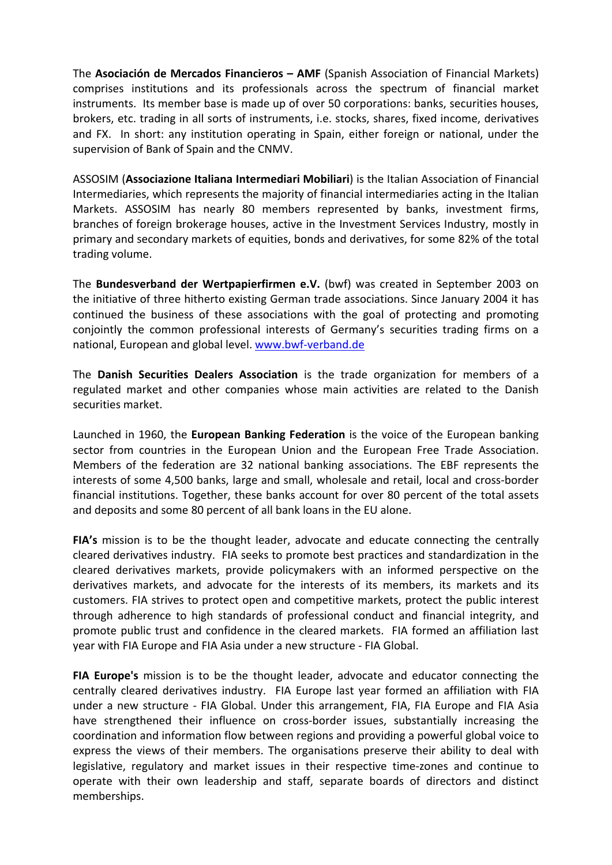The **Asociación de Mercados Financieros – AMF** (Spanish Association of Financial Markets) comprises institutions and its professionals across the spectrum of financial market instruments. Its member base is made up of over 50 corporations: banks, securities houses, brokers, etc. trading in all sorts of instruments, i.e. stocks, shares, fixed income, derivatives and FX. In short: any institution operating in Spain, either foreign or national, under the supervision of Bank of Spain and the CNMV.

ASSOSIM (**Associazione Italiana Intermediari Mobiliari**) is the Italian Association of Financial Intermediaries, which represents the majority of financial intermediaries acting in the Italian Markets. ASSOSIM has nearly 80 members represented by banks, investment firms, branches of foreign brokerage houses, active in the Investment Services Industry, mostly in primary and secondary markets of equities, bonds and derivatives, for some 82% of the total trading volume.

The **Bundesverband der Wertpapierfirmen e.V.** (bwf) was created in September 2003 on the initiative of three hitherto existing German trade associations. Since January 2004 it has continued the business of these associations with the goal of protecting and promoting conjointly the common professional interests of Germany's securities trading firms on a national, European and global level. www.bwf‐verband.de

The **Danish Securities Dealers Association** is the trade organization for members of a regulated market and other companies whose main activities are related to the Danish securities market.

Launched in 1960, the **European Banking Federation** is the voice of the European banking sector from countries in the European Union and the European Free Trade Association. Members of the federation are 32 national banking associations. The EBF represents the interests of some 4,500 banks, large and small, wholesale and retail, local and cross‐border financial institutions. Together, these banks account for over 80 percent of the total assets and deposits and some 80 percent of all bank loans in the EU alone.

**FIA's** mission is to be the thought leader, advocate and educate connecting the centrally cleared derivatives industry. FIA seeks to promote best practices and standardization in the cleared derivatives markets, provide policymakers with an informed perspective on the derivatives markets, and advocate for the interests of its members, its markets and its customers. FIA strives to protect open and competitive markets, protect the public interest through adherence to high standards of professional conduct and financial integrity, and promote public trust and confidence in the cleared markets. FIA formed an affiliation last year with FIA Europe and FIA Asia under a new structure ‐ FIA Global.

**FIA Europe's** mission is to be the thought leader, advocate and educator connecting the centrally cleared derivatives industry. FIA Europe last year formed an affiliation with FIA under a new structure ‐ FIA Global. Under this arrangement, FIA, FIA Europe and FIA Asia have strengthened their influence on cross-border issues, substantially increasing the coordination and information flow between regions and providing a powerful global voice to express the views of their members. The organisations preserve their ability to deal with legislative, regulatory and market issues in their respective time‐zones and continue to operate with their own leadership and staff, separate boards of directors and distinct memberships.